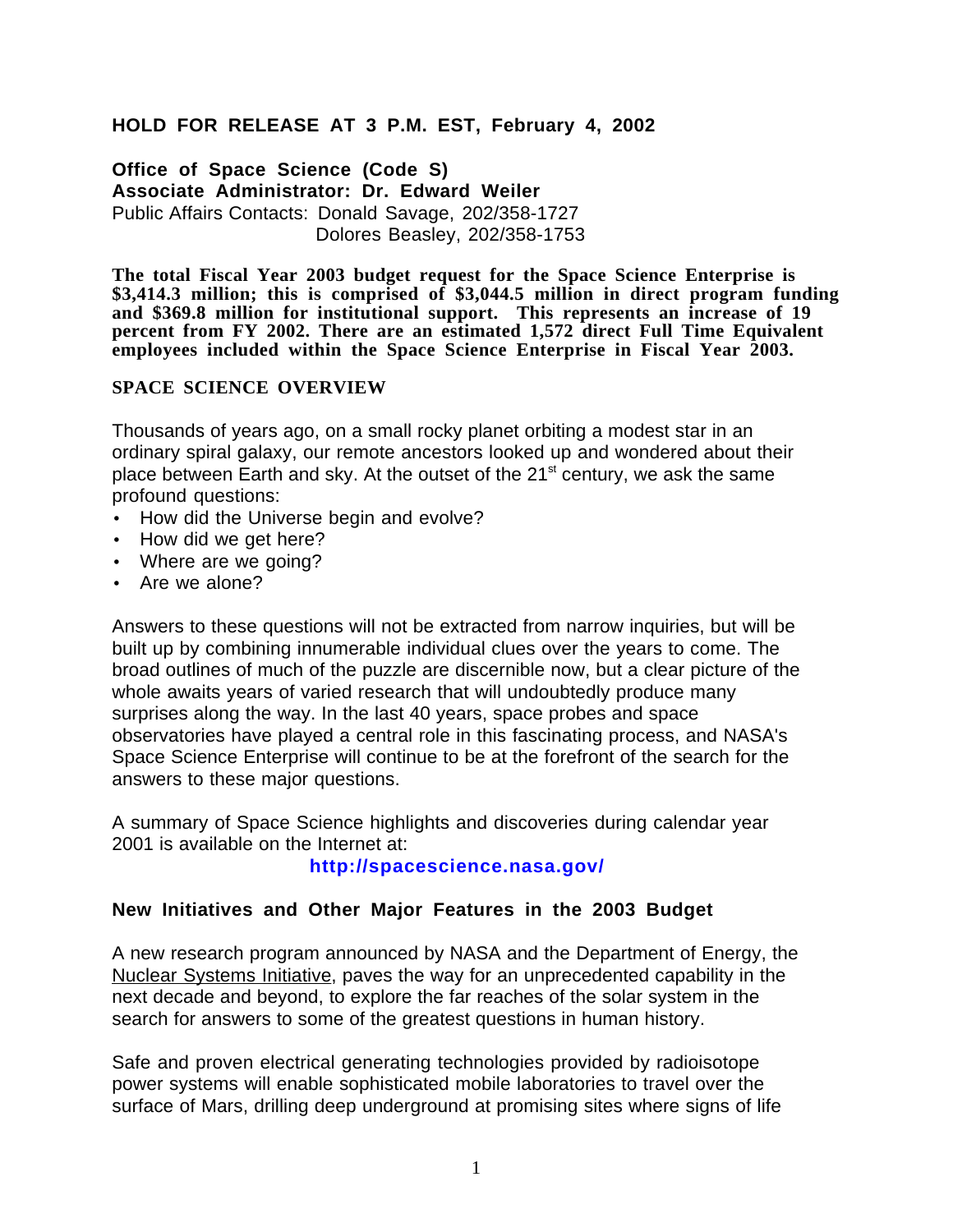## **HOLD FOR RELEASE AT 3 P.M. EST, February 4, 2002**

**Office of Space Science (Code S) Associate Administrator: Dr. Edward Weiler** Public Affairs Contacts: Donald Savage, 202/358-1727 Dolores Beasley, 202/358-1753

**The total Fiscal Year 2003 budget request for the Space Science Enterprise is \$3,414.3 million; this is comprised of \$3,044.5 million in direct program funding and \$369.8 million for institutional support. This represents an increase of 19 percent from FY 2002. There are an estimated 1,572 direct Full Time Equivalent employees included within the Space Science Enterprise in Fiscal Year 2003.**

#### **SPACE SCIENCE OVERVIEW**

Thousands of years ago, on a small rocky planet orbiting a modest star in an ordinary spiral galaxy, our remote ancestors looked up and wondered about their place between Earth and sky. At the outset of the  $21^{st}$  century, we ask the same profound questions:

- How did the Universe begin and evolve?
- How did we get here?
- Where are we going?
- Are we alone?

Answers to these questions will not be extracted from narrow inquiries, but will be built up by combining innumerable individual clues over the years to come. The broad outlines of much of the puzzle are discernible now, but a clear picture of the whole awaits years of varied research that will undoubtedly produce many surprises along the way. In the last 40 years, space probes and space observatories have played a central role in this fascinating process, and NASA's Space Science Enterprise will continue to be at the forefront of the search for the answers to these major questions.

A summary of Space Science highlights and discoveries during calendar year 2001 is available on the Internet at:

### **http://spacescience.nasa.gov/**

### **New Initiatives and Other Major Features in the 2003 Budget**

A new research program announced by NASA and the Department of Energy, the Nuclear Systems Initiative, paves the way for an unprecedented capability in the next decade and beyond, to explore the far reaches of the solar system in the search for answers to some of the greatest questions in human history.

Safe and proven electrical generating technologies provided by radioisotope power systems will enable sophisticated mobile laboratories to travel over the surface of Mars, drilling deep underground at promising sites where signs of life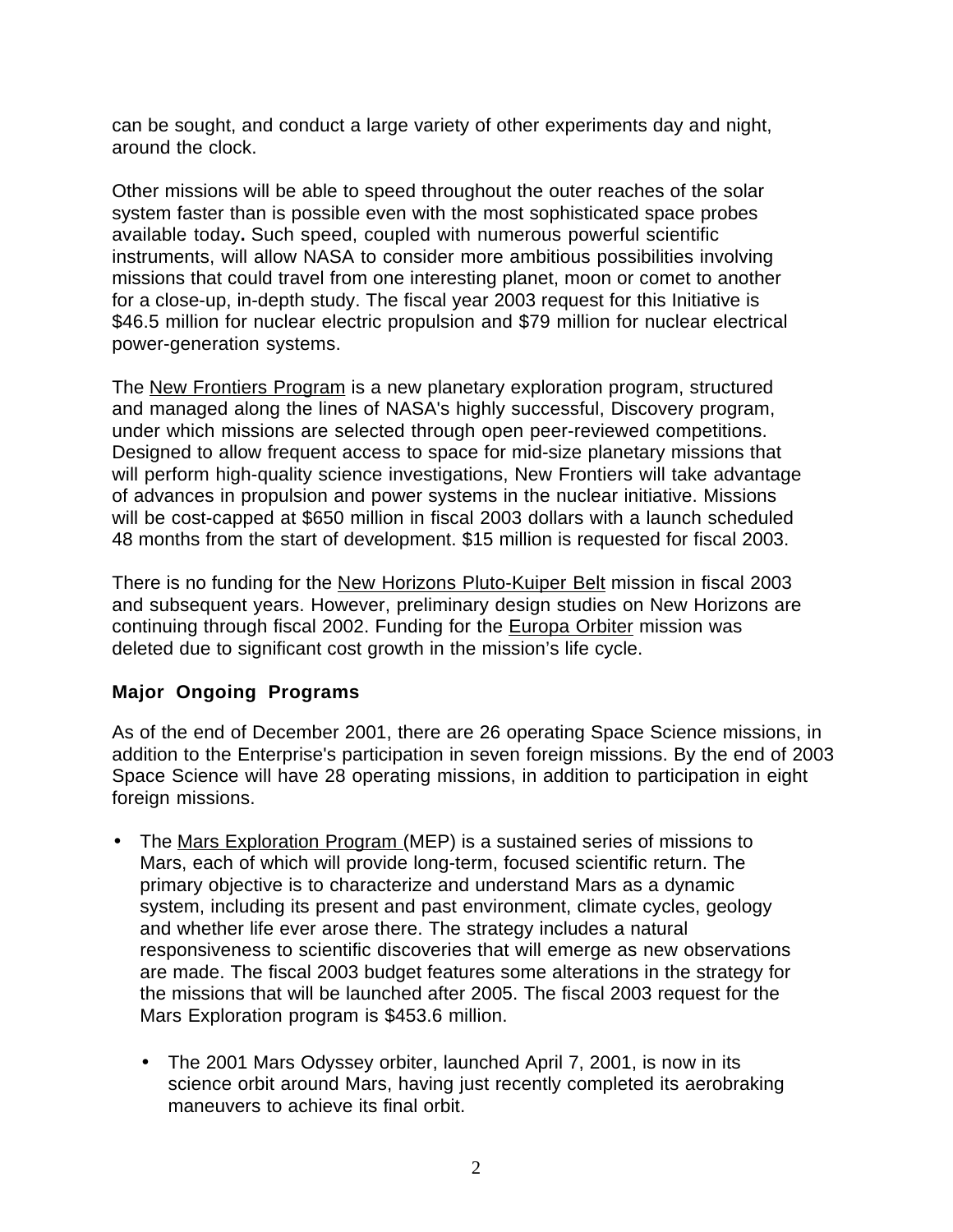can be sought, and conduct a large variety of other experiments day and night, around the clock.

Other missions will be able to speed throughout the outer reaches of the solar system faster than is possible even with the most sophisticated space probes available today**.** Such speed, coupled with numerous powerful scientific instruments, will allow NASA to consider more ambitious possibilities involving missions that could travel from one interesting planet, moon or comet to another for a close-up, in-depth study. The fiscal year 2003 request for this Initiative is \$46.5 million for nuclear electric propulsion and \$79 million for nuclear electrical power-generation systems.

The New Frontiers Program is a new planetary exploration program, structured and managed along the lines of NASA's highly successful, Discovery program, under which missions are selected through open peer-reviewed competitions. Designed to allow frequent access to space for mid-size planetary missions that will perform high-quality science investigations, New Frontiers will take advantage of advances in propulsion and power systems in the nuclear initiative. Missions will be cost-capped at \$650 million in fiscal 2003 dollars with a launch scheduled 48 months from the start of development. \$15 million is requested for fiscal 2003.

There is no funding for the New Horizons Pluto-Kuiper Belt mission in fiscal 2003 and subsequent years. However, preliminary design studies on New Horizons are continuing through fiscal 2002. Funding for the Europa Orbiter mission was deleted due to significant cost growth in the mission's life cycle.

## **Major Ongoing Programs**

As of the end of December 2001, there are 26 operating Space Science missions, in addition to the Enterprise's participation in seven foreign missions. By the end of 2003 Space Science will have 28 operating missions, in addition to participation in eight foreign missions.

- The Mars Exploration Program (MEP) is a sustained series of missions to Mars, each of which will provide long-term, focused scientific return. The primary objective is to characterize and understand Mars as a dynamic system, including its present and past environment, climate cycles, geology and whether life ever arose there. The strategy includes a natural responsiveness to scientific discoveries that will emerge as new observations are made. The fiscal 2003 budget features some alterations in the strategy for the missions that will be launched after 2005. The fiscal 2003 request for the Mars Exploration program is \$453.6 million.
	- The 2001 Mars Odyssey orbiter, launched April 7, 2001, is now in its science orbit around Mars, having just recently completed its aerobraking maneuvers to achieve its final orbit.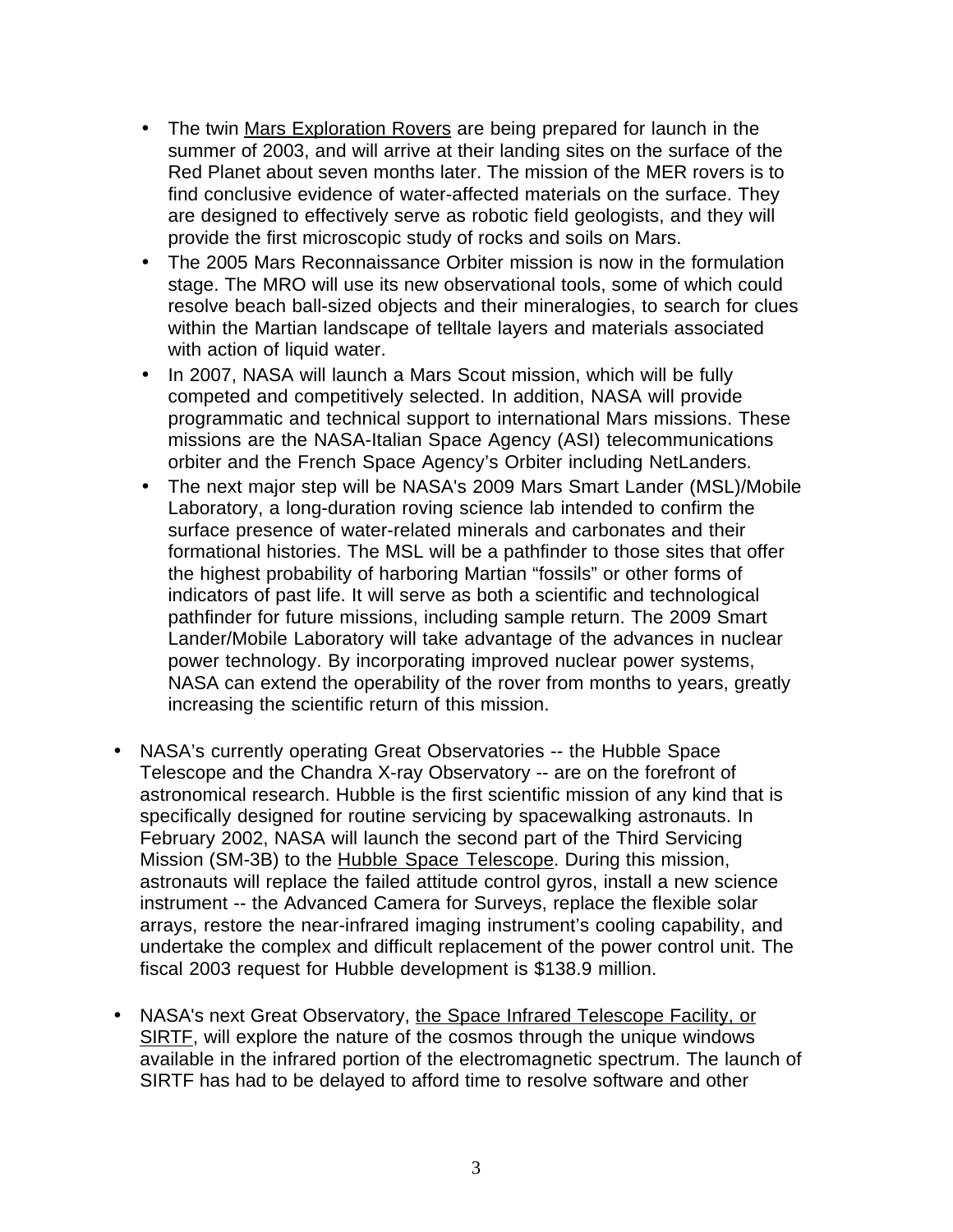- The twin Mars Exploration Rovers are being prepared for launch in the summer of 2003, and will arrive at their landing sites on the surface of the Red Planet about seven months later. The mission of the MER rovers is to find conclusive evidence of water-affected materials on the surface. They are designed to effectively serve as robotic field geologists, and they will provide the first microscopic study of rocks and soils on Mars.
- The 2005 Mars Reconnaissance Orbiter mission is now in the formulation stage. The MRO will use its new observational tools, some of which could resolve beach ball-sized objects and their mineralogies, to search for clues within the Martian landscape of telltale layers and materials associated with action of liquid water.
- In 2007, NASA will launch a Mars Scout mission, which will be fully competed and competitively selected. In addition, NASA will provide programmatic and technical support to international Mars missions. These missions are the NASA-Italian Space Agency (ASI) telecommunications orbiter and the French Space Agency's Orbiter including NetLanders.
- The next major step will be NASA's 2009 Mars Smart Lander (MSL)/Mobile Laboratory, a long-duration roving science lab intended to confirm the surface presence of water-related minerals and carbonates and their formational histories. The MSL will be a pathfinder to those sites that offer the highest probability of harboring Martian "fossils" or other forms of indicators of past life. It will serve as both a scientific and technological pathfinder for future missions, including sample return. The 2009 Smart Lander/Mobile Laboratory will take advantage of the advances in nuclear power technology. By incorporating improved nuclear power systems, NASA can extend the operability of the rover from months to years, greatly increasing the scientific return of this mission.
- NASA's currently operating Great Observatories -- the Hubble Space Telescope and the Chandra X-ray Observatory -- are on the forefront of astronomical research. Hubble is the first scientific mission of any kind that is specifically designed for routine servicing by spacewalking astronauts. In February 2002, NASA will launch the second part of the Third Servicing Mission (SM-3B) to the Hubble Space Telescope. During this mission, astronauts will replace the failed attitude control gyros, install a new science instrument -- the Advanced Camera for Surveys, replace the flexible solar arrays, restore the near-infrared imaging instrument's cooling capability, and undertake the complex and difficult replacement of the power control unit. The fiscal 2003 request for Hubble development is \$138.9 million.
- NASA's next Great Observatory, the Space Infrared Telescope Facility, or SIRTF, will explore the nature of the cosmos through the unique windows available in the infrared portion of the electromagnetic spectrum. The launch of SIRTF has had to be delayed to afford time to resolve software and other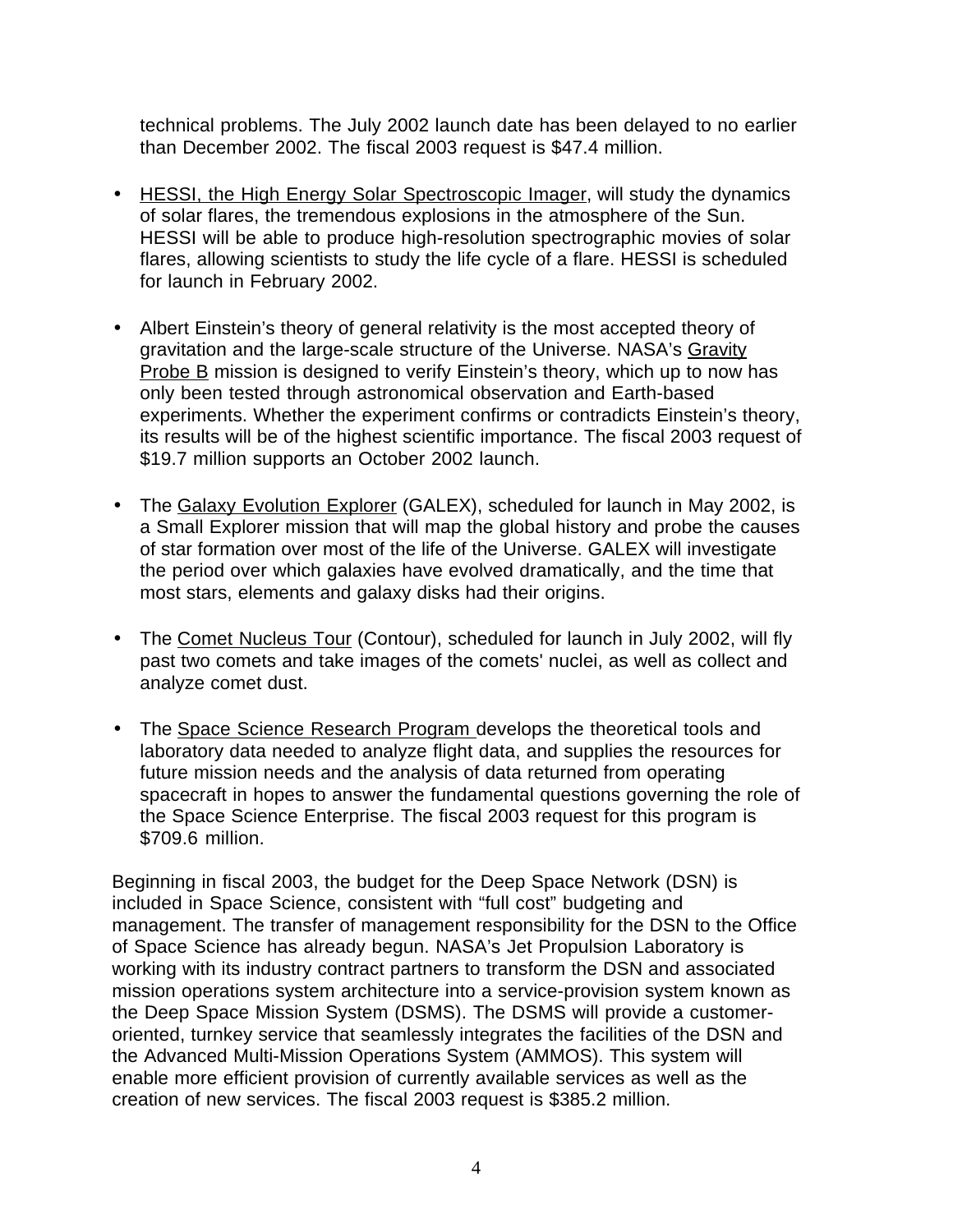technical problems. The July 2002 launch date has been delayed to no earlier than December 2002. The fiscal 2003 request is \$47.4 million.

- HESSI, the High Energy Solar Spectroscopic Imager, will study the dynamics of solar flares, the tremendous explosions in the atmosphere of the Sun. HESSI will be able to produce high-resolution spectrographic movies of solar flares, allowing scientists to study the life cycle of a flare. HESSI is scheduled for launch in February 2002.
- Albert Einstein's theory of general relativity is the most accepted theory of gravitation and the large-scale structure of the Universe. NASA's Gravity Probe B mission is designed to verify Einstein's theory, which up to now has only been tested through astronomical observation and Earth-based experiments. Whether the experiment confirms or contradicts Einstein's theory, its results will be of the highest scientific importance. The fiscal 2003 request of \$19.7 million supports an October 2002 launch.
- The Galaxy Evolution Explorer (GALEX), scheduled for launch in May 2002, is a Small Explorer mission that will map the global history and probe the causes of star formation over most of the life of the Universe. GALEX will investigate the period over which galaxies have evolved dramatically, and the time that most stars, elements and galaxy disks had their origins.
- The Comet Nucleus Tour (Contour), scheduled for launch in July 2002, will fly past two comets and take images of the comets' nuclei, as well as collect and analyze comet dust.
- The Space Science Research Program develops the theoretical tools and laboratory data needed to analyze flight data, and supplies the resources for future mission needs and the analysis of data returned from operating spacecraft in hopes to answer the fundamental questions governing the role of the Space Science Enterprise. The fiscal 2003 request for this program is \$709.6 million.

Beginning in fiscal 2003, the budget for the Deep Space Network (DSN) is included in Space Science, consistent with "full cost" budgeting and management. The transfer of management responsibility for the DSN to the Office of Space Science has already begun. NASA's Jet Propulsion Laboratory is working with its industry contract partners to transform the DSN and associated mission operations system architecture into a service-provision system known as the Deep Space Mission System (DSMS). The DSMS will provide a customeroriented, turnkey service that seamlessly integrates the facilities of the DSN and the Advanced Multi-Mission Operations System (AMMOS). This system will enable more efficient provision of currently available services as well as the creation of new services. The fiscal 2003 request is \$385.2 million.